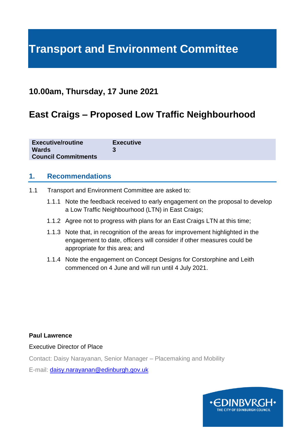# **Transport and Environment Committee**

# **10.00am, Thursday, 17 June 2021**

# **East Craigs – Proposed Low Traffic Neighbourhood**

| <b>Executive/routine</b>   | <b>Executive</b> |
|----------------------------|------------------|
| <b>Wards</b>               |                  |
| <b>Council Commitments</b> |                  |

# **1. Recommendations**

- 1.1 Transport and Environment Committee are asked to:
	- 1.1.1 Note the feedback received to early engagement on the proposal to develop a Low Traffic Neighbourhood (LTN) in East Craigs;
	- 1.1.2 Agree not to progress with plans for an East Craigs LTN at this time;
	- 1.1.3 Note that, in recognition of the areas for improvement highlighted in the engagement to date, officers will consider if other measures could be appropriate for this area; and
	- 1.1.4 Note the engagement on Concept Designs for Corstorphine and Leith commenced on 4 June and will run until 4 July 2021.

#### **Paul Lawrence**

#### Executive Director of Place

Contact: Daisy Narayanan, Senior Manager – Placemaking and Mobility

E-mail: [daisy.narayanan@edinburgh.gov.uk](mailto:daisy.narayanan@edinburgh.gov.uk)

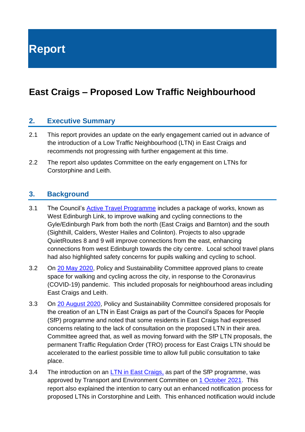**Report**

# **East Craigs – Proposed Low Traffic Neighbourhood**

# **2. Executive Summary**

- 2.1 This report provides an update on the early engagement carried out in advance of the introduction of a Low Traffic Neighbourhood (LTN) in East Craigs and recommends not progressing with further engagement at this time.
- 2.2 The report also updates Committee on the early engagement on LTNs for Corstorphine and Leith.

# **3. Background**

- 3.1 The Council's [Active Travel Programme](https://democracy.edinburgh.gov.uk/Data/Transport%20and%20Environment%20Committee/20190620/Agenda/item_75_-_investing_in_active_travel_and_in_people-friendly_streets.pdf) includes a package of works, known as West Edinburgh Link, to improve walking and cycling connections to the Gyle/Edinburgh Park from both the north (East Craigs and Barnton) and the south (Sighthill, Calders, Wester Hailes and Colinton). Projects to also upgrade QuietRoutes 8 and 9 will improve connections from the east, enhancing connections from west Edinburgh towards the city centre. Local school travel plans had also highlighted safety concerns for pupils walking and cycling to school.
- 3.2 On [20 May 2020,](https://democracy.edinburgh.gov.uk/documents/s24012/Item%206.8%20-%20Creating%20Safe%20Spaces%20for%20Walking%20and%20Cycling.pdf) Policy and Sustainability Committee approved plans to create space for walking and cycling across the city, in response to the Coronavirus (COVID-19) pandemic. This included proposals for neighbourhood areas including East Craigs and Leith.
- 3.3 On [20 August 2020,](https://democracy.edinburgh.gov.uk/documents/s26715/4.1%20-%20Minute%20of%2020%20August%202020.pdf) Policy and Sustainability Committee considered proposals for the creation of an LTN in East Craigs as part of the Council's Spaces for People (SfP) programme and noted that some residents in East Craigs had expressed concerns relating to the lack of consultation on the proposed LTN in their area. Committee agreed that, as well as moving forward with the SfP LTN proposals, the permanent Traffic Regulation Order (TRO) process for East Craigs LTN should be accelerated to the earliest possible time to allow full public consultation to take place.
- 3.4 The introduction on an [LTN in East Craigs,](https://democracy.edinburgh.gov.uk/documents/s26614/7.1%20-%20Spaces%20for%20People%20East%20Craigs%20Low%20Traffic.pdf) as part of the SfP programme, was approved by Transport and Environment Committee on [1 October 2021.](https://democracy.edinburgh.gov.uk/documents/s28756/4.1%20-%20Minute%2001.10.20.pdf) This report also explained the intention to carry out an enhanced notification process for proposed LTNs in Corstorphine and Leith. This enhanced notification would include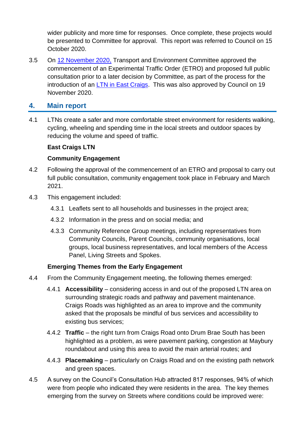wider publicity and more time for responses. Once complete, these projects would be presented to Committee for approval. This report was referred to Council on 15 October 2020.

3.5 On [12 November 2020,](https://democracy.edinburgh.gov.uk/documents/s30768/Item%204.1%20-%20Minute%2012.11.20.pdf) Transport and Environment Committee approved the commencement of an Experimental Traffic Order (ETRO) and proposed full public consultation prior to a later decision by Committee, as part of the process for the introduction of an [LTN in East Craigs.](https://democracy.edinburgh.gov.uk/documents/s29140/7.7%20-%20East%20Craigs%20LTN_Council%20Updated%20App1.pdf) This was also approved by Council on 19 November 2020.

# **4. Main report**

4.1 LTNs create a safer and more comfortable street environment for residents walking, cycling, wheeling and spending time in the local streets and outdoor spaces by reducing the volume and speed of traffic.

# **East Craigs LTN**

# **Community Engagement**

- 4.2 Following the approval of the commencement of an ETRO and proposal to carry out full public consultation, community engagement took place in February and March 2021.
- 4.3 This engagement included:
	- 4.3.1 Leaflets sent to all households and businesses in the project area;
	- 4.3.2 Information in the press and on social media; and
	- 4.3.3 Community Reference Group meetings, including representatives from Community Councils, Parent Councils, community organisations, local groups, local business representatives, and local members of the Access Panel, Living Streets and Spokes.

# **Emerging Themes from the Early Engagement**

- 4.4 From the Community Engagement meeting, the following themes emerged:
	- 4.4.1 **Accessibility** considering access in and out of the proposed LTN area on surrounding strategic roads and pathway and pavement maintenance. Craigs Roads was highlighted as an area to improve and the community asked that the proposals be mindful of bus services and accessibility to existing bus services;
	- 4.4.2 **Traffic** the right turn from Craigs Road onto Drum Brae South has been highlighted as a problem, as were pavement parking, congestion at Maybury roundabout and using this area to avoid the main arterial routes; and
	- 4.4.3 **Placemaking** particularly on Craigs Road and on the existing path network and green spaces.
- 4.5 A survey on the Council's Consultation Hub attracted 817 responses, 94% of which were from people who indicated they were residents in the area. The key themes emerging from the survey on Streets where conditions could be improved were: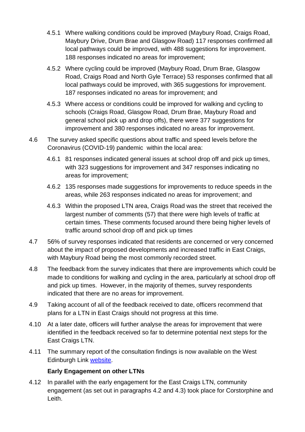- 4.5.1 Where walking conditions could be improved (Maybury Road, Craigs Road, Maybury Drive, Drum Brae and Glasgow Road) 117 responses confirmed all local pathways could be improved, with 488 suggestions for improvement. 188 responses indicated no areas for improvement;
- 4.5.2 Where cycling could be improved (Maybury Road, Drum Brae, Glasgow Road, Craigs Road and North Gyle Terrace) 53 responses confirmed that all local pathways could be improved, with 365 suggestions for improvement. 187 responses indicated no areas for improvement; and
- 4.5.3 Where access or conditions could be improved for walking and cycling to schools (Craigs Road, Glasgow Road, Drum Brae, Maybury Road and general school pick up and drop offs), there were 377 suggestions for improvement and 380 responses indicated no areas for improvement.
- 4.6 The survey asked specific questions about traffic and speed levels before the Coronavirus (COVID-19) pandemic within the local area:
	- 4.6.1 81 responses indicated general issues at school drop off and pick up times, with 323 suggestions for improvement and 347 responses indicating no areas for improvement;
	- 4.6.2 135 responses made suggestions for improvements to reduce speeds in the areas, while 263 responses indicated no areas for improvement; and
	- 4.6.3 Within the proposed LTN area, Craigs Road was the street that received the largest number of comments (57) that there were high levels of traffic at certain times. These comments focused around there being higher levels of traffic around school drop off and pick up times
- 4.7 56% of survey responses indicated that residents are concerned or very concerned about the impact of proposed developments and increased traffic in East Craigs, with Maybury Road being the most commonly recorded street.
- 4.8 The feedback from the survey indicates that there are improvements which could be made to conditions for walking and cycling in the area, particularly at school drop off and pick up times. However, in the majority of themes, survey respondents indicated that there are no areas for improvement.
- 4.9 Taking account of all of the feedback received to date, officers recommend that plans for a LTN in East Craigs should not progress at this time.
- 4.10 At a later date, officers will further analyse the areas for improvement that were identified in the feedback received so far to determine potential next steps for the East Craigs LTN.
- 4.11 The summary report of the consultation findings is now available on the West Edinburgh Link [website.](https://westedinburghlink.info/consultation/)

# **Early Engagement on other LTNs**

4.12 In parallel with the early engagement for the East Craigs LTN, community engagement (as set out in paragraphs 4.2 and 4.3) took place for Corstorphine and Leith.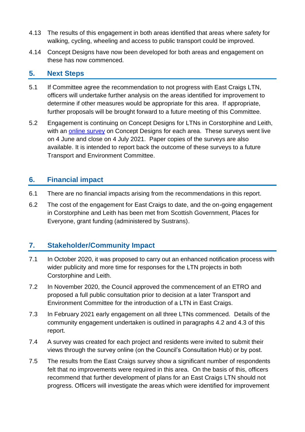- 4.13 The results of this engagement in both areas identified that areas where safety for walking, cycling, wheeling and access to public transport could be improved.
- 4.14 Concept Designs have now been developed for both areas and engagement on these has now commenced.

#### **5. Next Steps**

- 5.1 If Committee agree the recommendation to not progress with East Craigs LTN, officers will undertake further analysis on the areas identified for improvement to determine if other measures would be appropriate for this area. If appropriate, further proposals will be brought forward to a future meeting of this Committee.
- 5.2 Engagement is continuing on Concept Designs for LTNs in Corstorphine and Leith, with an [online survey](https://consultationhub.edinburgh.gov.uk/sfc/low-traffic-neighbourhoods/) on Concept Designs for each area. These surveys went live on 4 June and close on 4 July 2021. Paper copies of the surveys are also available. It is intended to report back the outcome of these surveys to a future Transport and Environment Committee.

# **6. Financial impact**

- 6.1 There are no financial impacts arising from the recommendations in this report.
- 6.2 The cost of the engagement for East Craigs to date, and the on-going engagement in Corstorphine and Leith has been met from Scottish Government, Places for Everyone, grant funding (administered by Sustrans).

# **7. Stakeholder/Community Impact**

- 7.1 In October 2020, it was proposed to carry out an enhanced notification process with wider publicity and more time for responses for the LTN projects in both Corstorphine and Leith.
- 7.2 In November 2020, the Council approved the commencement of an ETRO and proposed a full public consultation prior to decision at a later Transport and Environment Committee for the introduction of a LTN in East Craigs.
- 7.3 In February 2021 early engagement on all three LTNs commenced. Details of the community engagement undertaken is outlined in paragraphs 4.2 and 4.3 of this report.
- 7.4 A survey was created for each project and residents were invited to submit their views through the survey online (on the Council's Consultation Hub) or by post.
- 7.5 The results from the East Craigs survey show a significant number of respondents felt that no improvements were required in this area. On the basis of this, officers recommend that further development of plans for an East Craigs LTN should not progress. Officers will investigate the areas which were identified for improvement